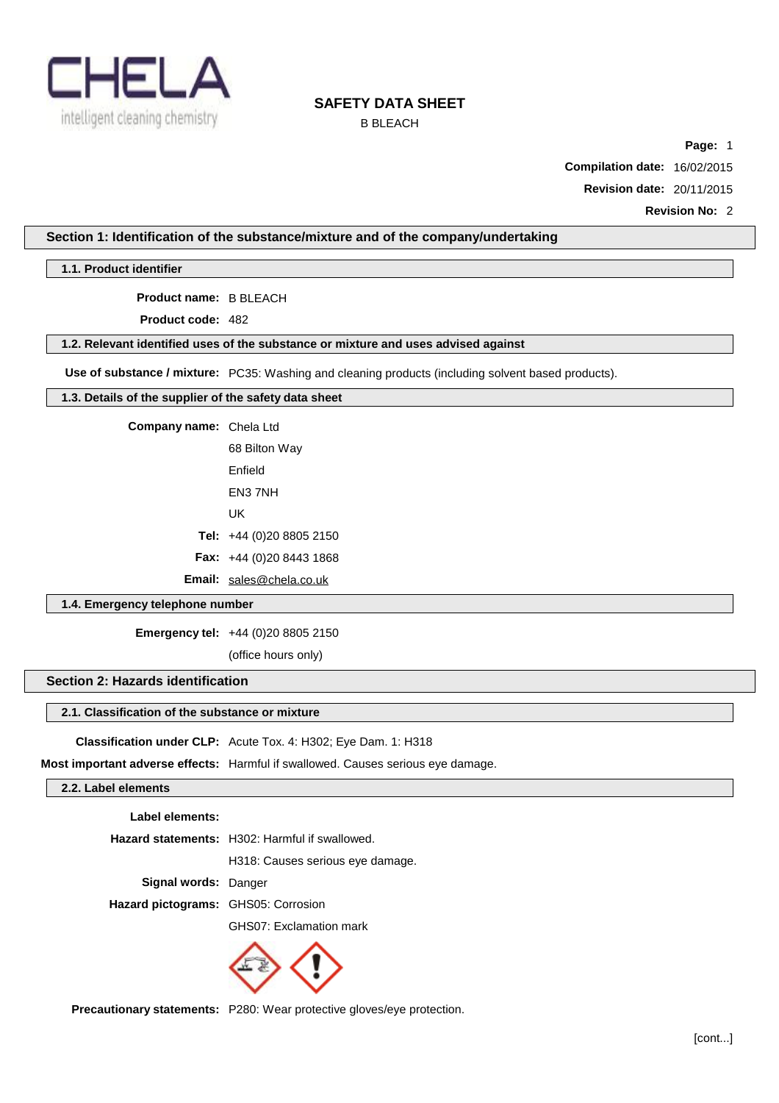

## B BLEACH

**Page:** 1

**Compilation date:** 16/02/2015

**Revision date:** 20/11/2015

**Revision No:** 2

### **Section 1: Identification of the substance/mixture and of the company/undertaking**

### **1.1. Product identifier**

**Product name:** B BLEACH

**Product code:** 482

## **1.2. Relevant identified uses of the substance or mixture and uses advised against**

**Use of substance / mixture:** PC35: Washing and cleaning products (including solvent based products).

### **1.3. Details of the supplier of the safety data sheet**

**Company name:** Chela Ltd

68 Bilton Way Enfield EN3 7NH UK

**Tel:** +44 (0)20 8805 2150

**Fax:** +44 (0)20 8443 1868

**Email:** [sales@chela.co.uk](mailto:sales@chela.co.uk)

## **1.4. Emergency telephone number**

**Emergency tel:** +44 (0)20 8805 2150

(office hours only)

## **Section 2: Hazards identification**

### **2.1. Classification of the substance or mixture**

**Classification under CLP:** Acute Tox. 4: H302; Eye Dam. 1: H318

**Most important adverse effects:** Harmful if swallowed. Causes serious eye damage.

### **2.2. Label elements**

| Label elements:                     |                                                |
|-------------------------------------|------------------------------------------------|
|                                     | Hazard statements: H302: Harmful if swallowed. |
|                                     | H318: Causes serious eye damage.               |
| Signal words: Danger                |                                                |
| Hazard pictograms: GHS05: Corrosion |                                                |
|                                     | GHS07: Exclamation mark                        |
|                                     |                                                |



**Precautionary statements:** P280: Wear protective gloves/eye protection.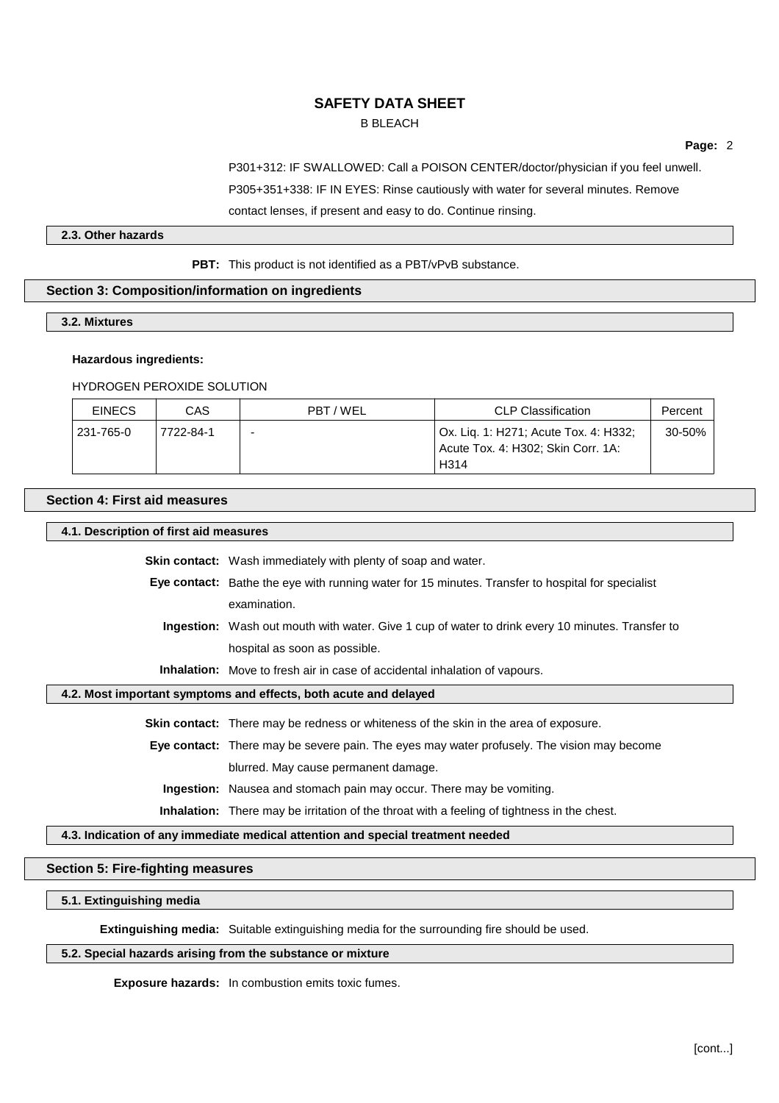## B BLEACH

**Page:** 2

P301+312: IF SWALLOWED: Call a POISON CENTER/doctor/physician if you feel unwell.

P305+351+338: IF IN EYES: Rinse cautiously with water for several minutes. Remove

contact lenses, if present and easy to do. Continue rinsing.

### **2.3. Other hazards**

**PBT:** This product is not identified as a PBT/vPvB substance.

## **Section 3: Composition/information on ingredients**

### **3.2. Mixtures**

## **Hazardous ingredients:**

### HYDROGEN PEROXIDE SOLUTION

| <b>EINECS</b> | CAS       | PBT/WEL | <b>CLP Classification</b>                                                                        | Percent |
|---------------|-----------|---------|--------------------------------------------------------------------------------------------------|---------|
| 231-765-0     | 7722-84-1 | -       | Ox. Lig. 1: H271; Acute Tox. 4: H332;<br>Acute Tox. 4: H302; Skin Corr. 1A:<br>H <sub>3</sub> 14 | 30-50%  |

### **Section 4: First aid measures**

### **4.1. Description of first aid measures**

**Skin contact:** Wash immediately with plenty of soap and water.

- **Eye contact:** Bathe the eye with running water for 15 minutes. Transfer to hospital for specialist examination.
	- **Ingestion:** Wash out mouth with water. Give 1 cup of water to drink every 10 minutes. Transfer to hospital as soon as possible.

**Inhalation:** Move to fresh air in case of accidental inhalation of vapours.

## **4.2. Most important symptoms and effects, both acute and delayed**

**Skin contact:** There may be redness or whiteness of the skin in the area of exposure.

**Eye contact:** There may be severe pain. The eyes may water profusely. The vision may become blurred. May cause permanent damage.

**Ingestion:** Nausea and stomach pain may occur. There may be vomiting.

**Inhalation:** There may be irritation of the throat with a feeling of tightness in the chest.

### **4.3. Indication of any immediate medical attention and special treatment needed**

## **Section 5: Fire-fighting measures**

### **5.1. Extinguishing media**

**Extinguishing media:** Suitable extinguishing media for the surrounding fire should be used.

## **5.2. Special hazards arising from the substance or mixture**

**Exposure hazards:** In combustion emits toxic fumes.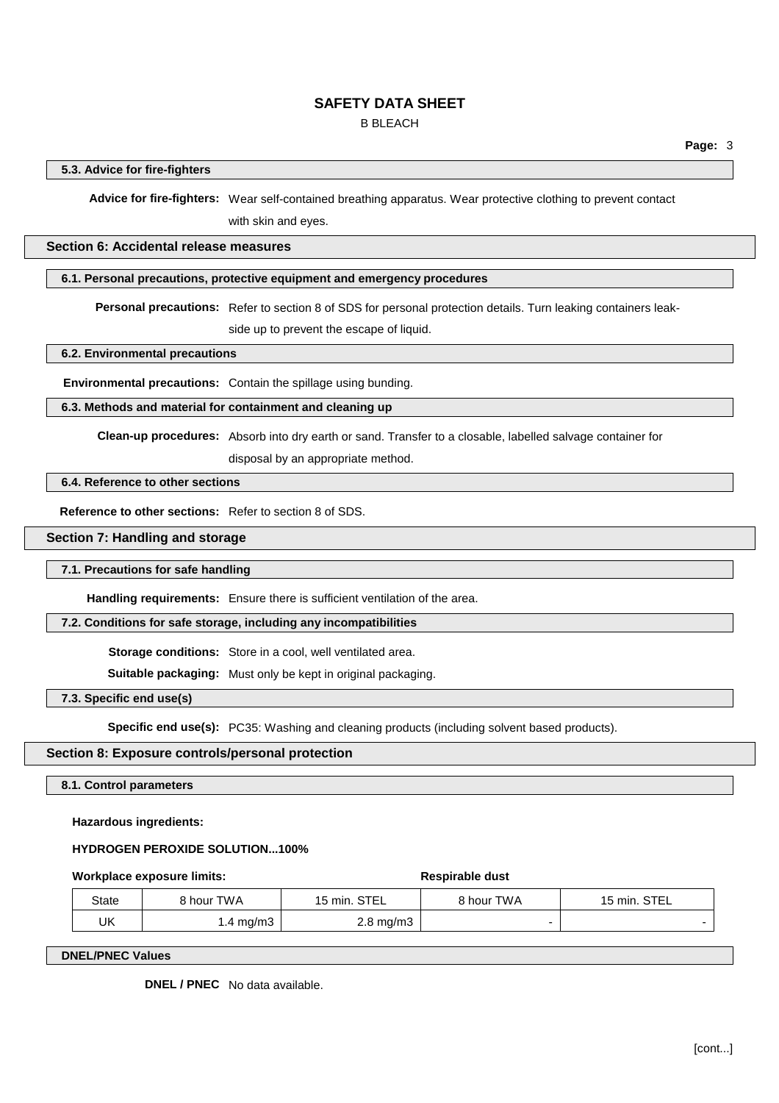B BLEACH

## **5.3. Advice for fire-fighters**

**Advice for fire-fighters:** Wear self-contained breathing apparatus. Wear protective clothing to prevent contact with skin and eyes.

### **Section 6: Accidental release measures**

### **6.1. Personal precautions, protective equipment and emergency procedures**

**Personal precautions:** Refer to section 8 of SDS for personal protection details. Turn leaking containers leak-

side up to prevent the escape of liquid.

**6.2. Environmental precautions**

**Environmental precautions:** Contain the spillage using bunding.

### **6.3. Methods and material for containment and cleaning up**

**Clean-up procedures:** Absorb into dry earth or sand. Transfer to a closable, labelled salvage container for

disposal by an appropriate method.

## **6.4. Reference to other sections**

**Reference to other sections:** Refer to section 8 of SDS.

### **Section 7: Handling and storage**

### **7.1. Precautions for safe handling**

**Handling requirements:** Ensure there is sufficient ventilation of the area.

### **7.2. Conditions for safe storage, including any incompatibilities**

**Storage conditions:** Store in a cool, well ventilated area.

**Suitable packaging:** Must only be kept in original packaging.

**7.3. Specific end use(s)**

**Specific end use(s):** PC35: Washing and cleaning products (including solvent based products).

## **Section 8: Exposure controls/personal protection**

**8.1. Control parameters**

**Hazardous ingredients:**

### **HYDROGEN PEROXIDE SOLUTION...100%**

### **Workplace exposure limits: Respirable** dust

| State | 8 hour TWA | 15 min. STEL       | 8 hour TWA | 15 min. STEL |
|-------|------------|--------------------|------------|--------------|
| UK    | l.4 mg/m3  | $2.8 \text{ mg/m}$ |            |              |

**DNEL/PNEC Values**

**DNEL / PNEC** No data available.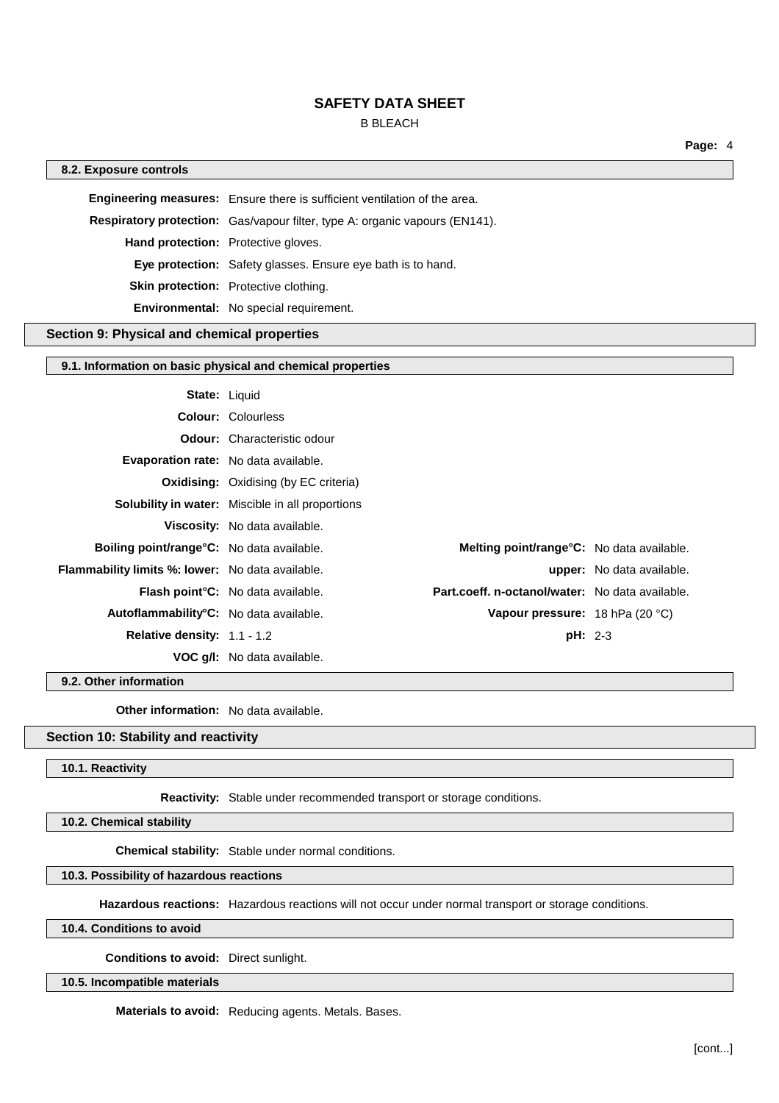## B BLEACH

**Page:** 4

### **8.2. Exposure controls**

**Engineering measures:** Ensure there is sufficient ventilation of the area. **Respiratory protection:** Gas/vapour filter, type A: organic vapours (EN141). **Hand protection:** Protective gloves. **Eye protection:** Safety glasses. Ensure eye bath is to hand. **Skin protection:** Protective clothing. **Environmental:** No special requirement.

### **Section 9: Physical and chemical properties**

### **9.1. Information on basic physical and chemical properties**

| <b>State: Liquid</b>                              |                                                                                              |                                  |
|---------------------------------------------------|----------------------------------------------------------------------------------------------|----------------------------------|
|                                                   | <b>Colour: Colourless</b>                                                                    |                                  |
|                                                   | <b>Odour:</b> Characteristic odour                                                           |                                  |
| <b>Evaporation rate:</b> No data available.       |                                                                                              |                                  |
|                                                   | <b>Oxidising:</b> Oxidising (by EC criteria)                                                 |                                  |
|                                                   | <b>Solubility in water:</b> Miscible in all proportions                                      |                                  |
|                                                   | Viscosity: No data available.                                                                |                                  |
| <b>Boiling point/range °C:</b> No data available. | <b>Melting point/range °C:</b> No data available.                                            |                                  |
| Flammability limits %: lower: No data available.  |                                                                                              | <b>upper:</b> No data available. |
|                                                   | Part.coeff. n-octanol/water: No data available.<br><b>Flash point °C:</b> No data available. |                                  |
| Autoflammability°C: No data available.            |                                                                                              | Vapour pressure: 18 hPa (20 °C)  |
| Relative density: $1.1 - 1.2$                     |                                                                                              | $pH: 2-3$                        |
|                                                   | <b>VOC q/I:</b> No data available.                                                           |                                  |

**9.2. Other information**

**Other information:** No data available.

## **Section 10: Stability and reactivity**

### **10.1. Reactivity**

**Reactivity:** Stable under recommended transport or storage conditions.

**10.2. Chemical stability**

**Chemical stability:** Stable under normal conditions.

## **10.3. Possibility of hazardous reactions**

**Hazardous reactions:** Hazardous reactions will not occur under normal transport or storage conditions.

### **10.4. Conditions to avoid**

**Conditions to avoid:** Direct sunlight.

**10.5. Incompatible materials**

**Materials to avoid:** Reducing agents. Metals. Bases.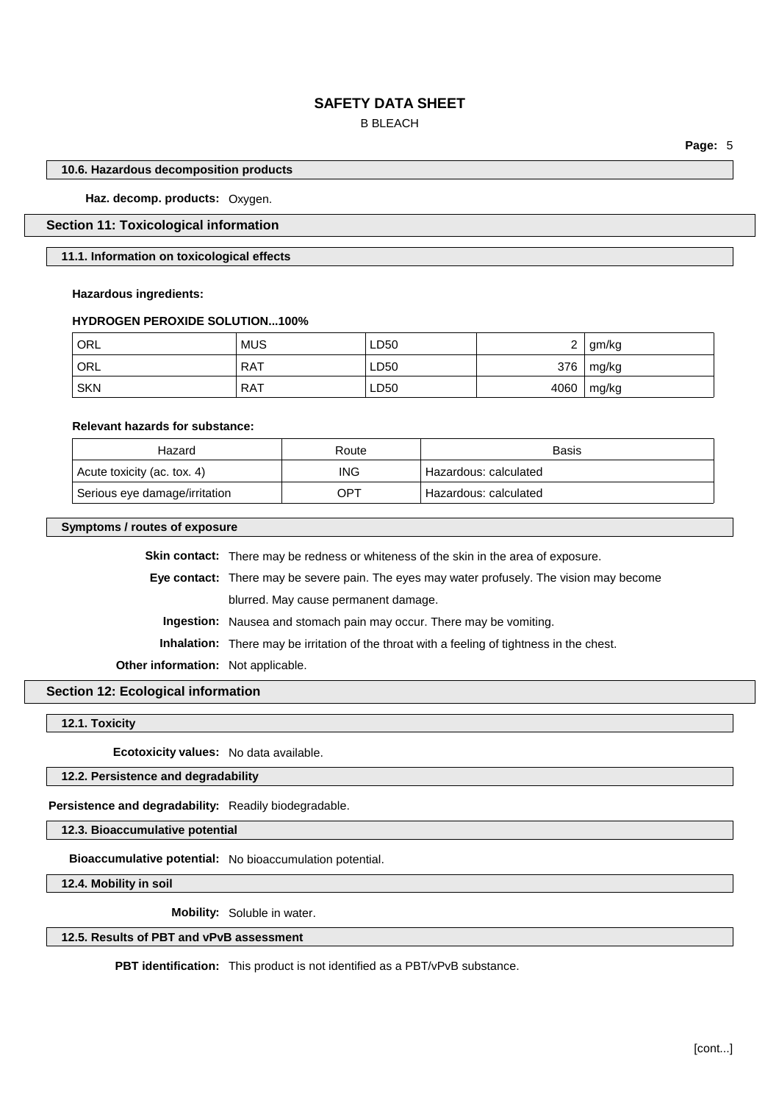## B BLEACH

**Page:** 5

### **10.6. Hazardous decomposition products**

**Haz. decomp. products:** Oxygen.

## **Section 11: Toxicological information**

### **11.1. Information on toxicological effects**

### **Hazardous ingredients:**

### **HYDROGEN PEROXIDE SOLUTION...100%**

| ' ORL      | <b>MUS</b> | LD50 | ⌒<br>← | gm/kg |
|------------|------------|------|--------|-------|
| ORL        | <b>RAT</b> | LD50 | 376    | mg/kg |
| <b>SKN</b> | <b>RAT</b> | LD50 | 4060   | mg/kg |

### **Relevant hazards for substance:**

| Hazard                        | Route      | Basis                   |
|-------------------------------|------------|-------------------------|
| Acute toxicity (ac. tox. 4)   | <b>ING</b> | ' Hazardous: calculated |
| Serious eye damage/irritation | OP1        | Hazardous: calculated   |

### **Symptoms / routes of exposure**

|                                           | <b>Skin contact:</b> There may be redness or whiteness of the skin in the area of exposure.        |
|-------------------------------------------|----------------------------------------------------------------------------------------------------|
|                                           | <b>Eye contact:</b> There may be severe pain. The eyes may water profusely. The vision may become  |
|                                           | blurred. May cause permanent damage.                                                               |
|                                           | <b>Ingestion:</b> Nausea and stomach pain may occur. There may be vomiting.                        |
|                                           | <b>Inhalation:</b> There may be irritation of the throat with a feeling of tightness in the chest. |
| <b>Other information:</b> Not applicable. |                                                                                                    |

## **Section 12: Ecological information**

## **12.1. Toxicity**

**Ecotoxicity values:** No data available.

**12.2. Persistence and degradability**

**Persistence and degradability:** Readily biodegradable.

**12.3. Bioaccumulative potential**

**Bioaccumulative potential:** No bioaccumulation potential.

**12.4. Mobility in soil**

**Mobility:** Soluble in water.

## **12.5. Results of PBT and vPvB assessment**

**PBT identification:** This product is not identified as a PBT/vPvB substance.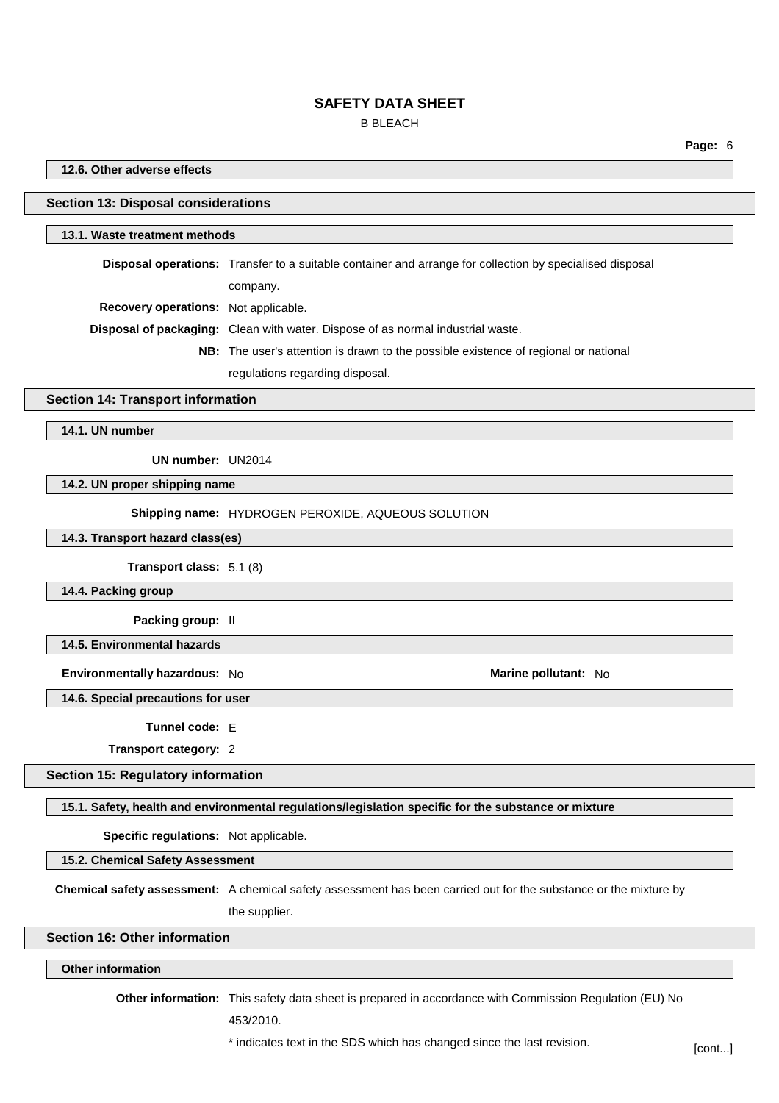## B BLEACH

**Page:** 6

### **12.6. Other adverse effects**

### **Section 13: Disposal considerations**

## **13.1. Waste treatment methods**

**Disposal operations:** Transfer to a suitable container and arrange for collection by specialised disposal company.

**Recovery operations:** Not applicable.

**Disposal of packaging:** Clean with water. Dispose of as normal industrial waste.

- **NB:** The user's attention is drawn to the possible existence of regional or national
	- regulations regarding disposal.

### **Section 14: Transport information**

**14.1. UN number**

**UN number:** UN2014

**14.2. UN proper shipping name**

**Shipping name:** HYDROGEN PEROXIDE, AQUEOUS SOLUTION

**14.3. Transport hazard class(es)**

**Transport class:** 5.1 (8)

**14.4. Packing group**

**Packing group:** II

**14.5. Environmental hazards**

**Environmentally hazardous:** No **Marine pollutant:** No

**14.6. Special precautions for user**

**Tunnel code:** E

**Transport category:** 2

**Section 15: Regulatory information**

**15.1. Safety, health and environmental regulations/legislation specific for the substance or mixture**

**Specific regulations:** Not applicable.

**15.2. Chemical Safety Assessment**

**Chemical safety assessment:** A chemical safety assessment has been carried out for the substance or the mixture by the supplier.

### **Section 16: Other information**

## **Other information**

**Other information:** This safety data sheet is prepared in accordance with Commission Regulation (EU) No

453/2010.

\* indicates text in the SDS which has changed since the last revision. [cont...]